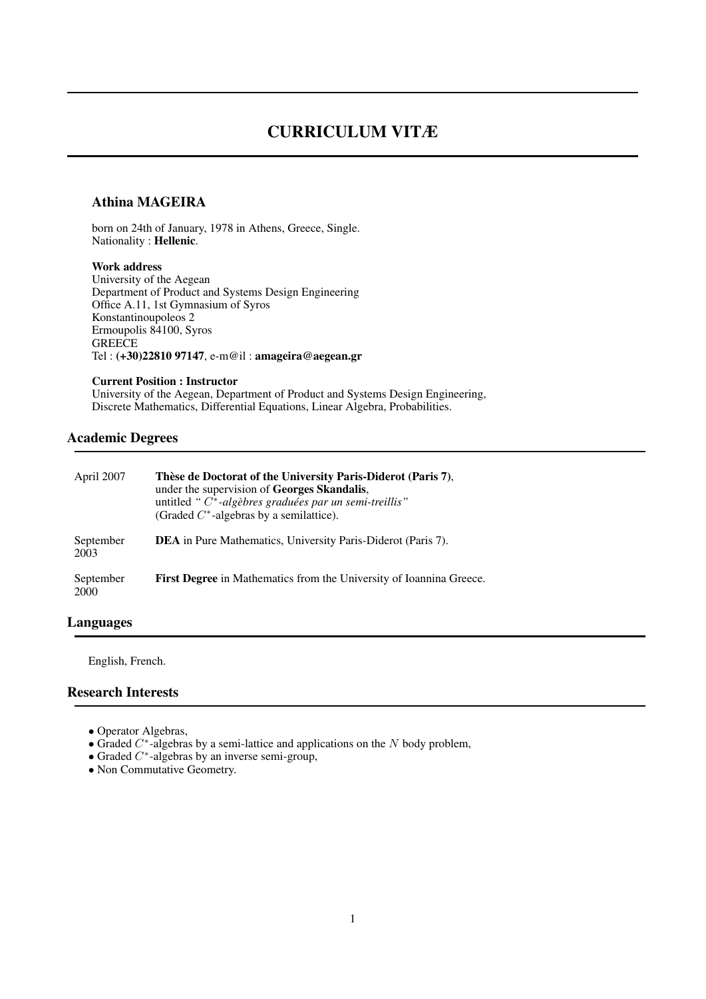# CURRICULUM VITÆ

#### Athina MAGEIRA

born on 24th of January, 1978 in Athens, Greece, Single. Nationality : Hellenic.

#### Work address

University of the Aegean Department of Product and Systems Design Engineering Office A.11, 1st Gymnasium of Syros Konstantinoupoleos 2 Ermoupolis 84100, Syros **GREECE** Tel : (+30)22810 97147, e-m@il : amageira@aegean.gr

#### Current Position : Instructor

University of the Aegean, Department of Product and Systems Design Engineering, Discrete Mathematics, Differential Equations, Linear Algebra, Probabilities.

### Academic Degrees

| April 2007        | Thèse de Doctorat of the University Paris-Diderot (Paris 7),<br>under the supervision of Georges Skandalis,<br>untitled " $C^*$ -algèbres graduées par un semi-treillis"<br>(Graded $C^*$ -algebras by a semilattice). |
|-------------------|------------------------------------------------------------------------------------------------------------------------------------------------------------------------------------------------------------------------|
| September<br>2003 | <b>DEA</b> in Pure Mathematics, University Paris-Diderot (Paris 7).                                                                                                                                                    |
| September<br>2000 | <b>First Degree</b> in Mathematics from the University of Ioannina Greece.                                                                                                                                             |

## Languages

English, French.

## Research Interests

- Operator Algebras,
- Graded  $C^*$ -algebras by a semi-lattice and applications on the N body problem,
- Graded  $C^*$ -algebras by an inverse semi-group,
- Non Commutative Geometry.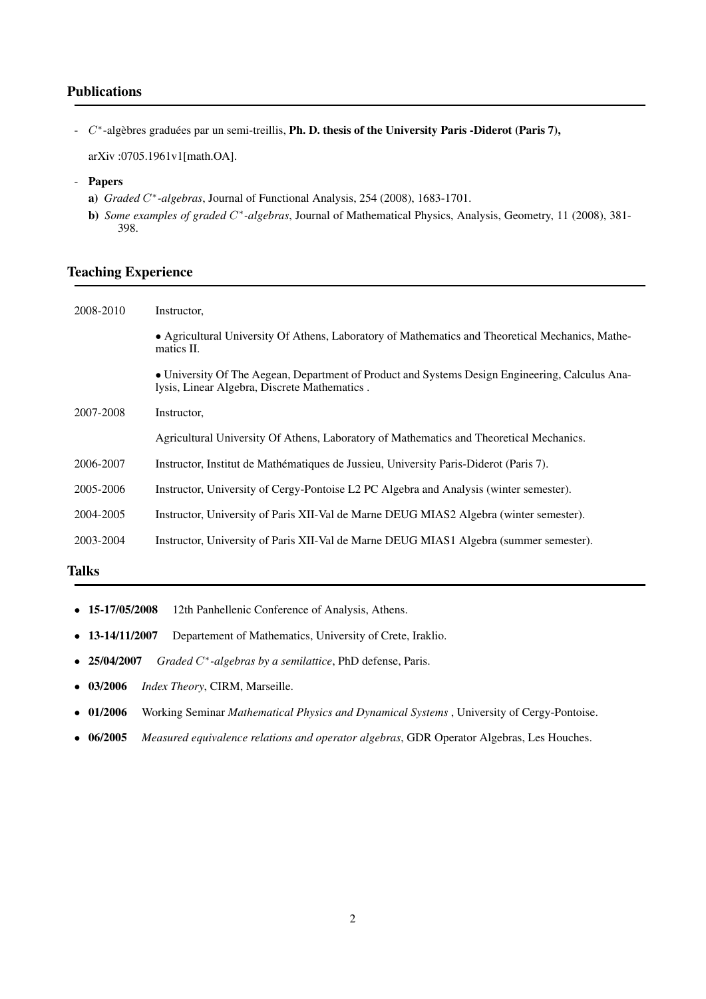## Publications

 $C^*$ -algèbres graduées par un semi-treillis, Ph. D. thesis of the University Paris -Diderot (Paris 7),

arXiv :0705.1961v1[math.OA].

#### - Papers

- a) *Graded* C ∗ *-algebras*, Journal of Functional Analysis, 254 (2008), 1683-1701.
- **b**) *Some examples of graded* C<sup>\*</sup>-algebras, Journal of Mathematical Physics, Analysis, Geometry, 11 (2008), 381-398.

## Teaching Experience

| 2008-2010 | Instructor,                                                                                                                                     |
|-----------|-------------------------------------------------------------------------------------------------------------------------------------------------|
|           | • Agricultural University Of Athens, Laboratory of Mathematics and Theoretical Mechanics, Mathe-<br>matics II.                                  |
|           | • University Of The Aegean, Department of Product and Systems Design Engineering, Calculus Ana-<br>lysis, Linear Algebra, Discrete Mathematics. |
| 2007-2008 | Instructor,                                                                                                                                     |
|           | Agricultural University Of Athens, Laboratory of Mathematics and Theoretical Mechanics.                                                         |
| 2006-2007 | Instructor, Institut de Mathématiques de Jussieu, University Paris-Diderot (Paris 7).                                                           |
| 2005-2006 | Instructor, University of Cergy-Pontoise L2 PC Algebra and Analysis (winter semester).                                                          |
| 2004-2005 | Instructor, University of Paris XII-Val de Marne DEUG MIAS2 Algebra (winter semester).                                                          |
| 2003-2004 | Instructor, University of Paris XII-Val de Marne DEUG MIAS1 Algebra (summer semester).                                                          |

## Talks

- 15-17/05/2008 12th Panhellenic Conference of Analysis, Athens.
- 13-14/11/2007 Departement of Mathematics, University of Crete, Iraklio.
- $-25/04/2007$ ∗ *-algebras by a semilattice*, PhD defense, Paris.
- 03/2006 *Index Theory*, CIRM, Marseille.
- 01/2006 Working Seminar *Mathematical Physics and Dynamical Systems* , University of Cergy-Pontoise.
- 06/2005 *Measured equivalence relations and operator algebras*, GDR Operator Algebras, Les Houches.